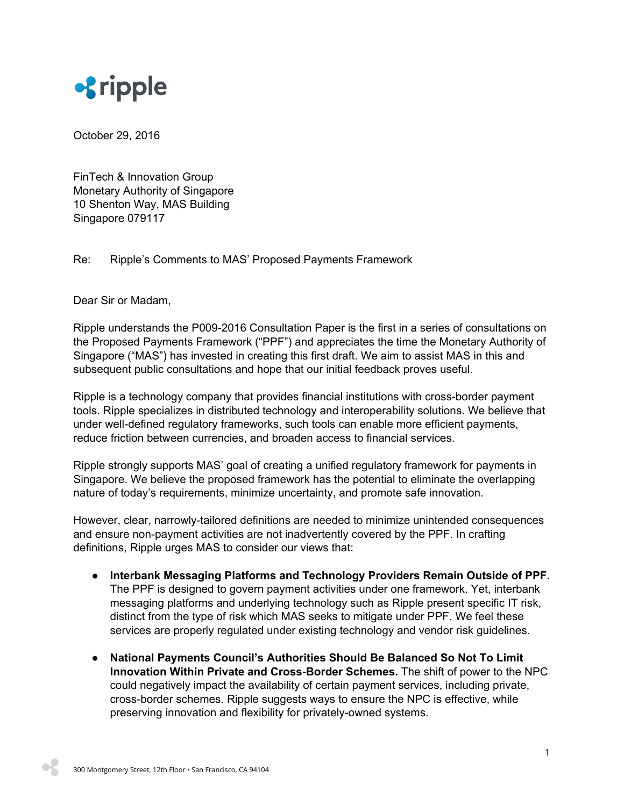

October 29, 2016

FinTech & Innovation Group Monetary Authority of Singapore 10 Shenton Way, MAS Building Singapore 079117

## Re: Ripple's Comments to MAS' Proposed Payments Framework

Dear Sir or Madam,

Ripple understands the P009-2016 Consultation Paper is the first in a series of consultations on the Proposed Payments Framework ("PPF") and appreciates the time the Monetary Authority of Singapore ("MAS") has invested in creating this first draft. We aim to assist MAS in this and subsequent public consultations and hope that our initial feedback proves useful.

Ripple is a technology company that provides financial institutions with cross-border payment tools. Ripple specializes in distributed technology and interoperability solutions. We believe that under well-defined regulatory frameworks, such tools can enable more efficient payments, reduce friction between currencies, and broaden access to financial services.

Ripple strongly supports MAS' goal of creating a unified regulatory framework for payments in Singapore. We believe the proposed framework has the potential to eliminate the overlapping nature of today's requirements, minimize uncertainty, and promote safe innovation.

However, clear, narrowly-tailored definitions are needed to minimize unintended consequences and ensure non-payment activities are not inadvertently covered by the PPF. In crafting definitions, Ripple urges MAS to consider our views that:

- **● Interbank Messaging Platforms and Technology Providers Remain Outside of PPF.** The PPF is designed to govern payment activities under one framework. Yet, interbank messaging platforms and underlying technology such as Ripple present specific IT risk, distinct from the type of risk which MAS seeks to mitigate under PPF. We feel these services are properly regulated under existing technology and vendor risk guidelines.
- **● National Payments Council's Authorities Should Be Balanced So Not To Limit Innovation Within Private and Cross-Border Schemes.** The shift of power to the NPC could negatively impact the availability of certain payment services, including private, cross-border schemes. Ripple suggests ways to ensure the NPC is effective, while preserving innovation and flexibility for privately-owned systems.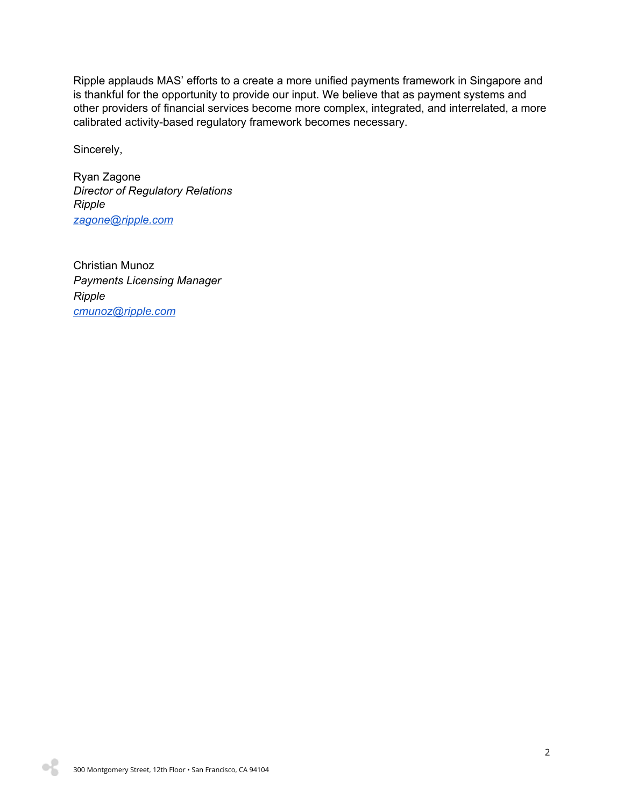Ripple applauds MAS' efforts to a create a more unified payments framework in Singapore and is thankful for the opportunity to provide our input. We believe that as payment systems and other providers of financial services become more complex, integrated, and interrelated, a more calibrated activity-based regulatory framework becomes necessary.

Sincerely,

Ryan Zagone *Director of Regulatory Relations Ripple [zagone@ripple.com](mailto:zagone@ripple.com)*

Christian Munoz *Payments Licensing Manager Ripple [cmunoz@ripple.com](mailto:cmunoz@ripple.com)*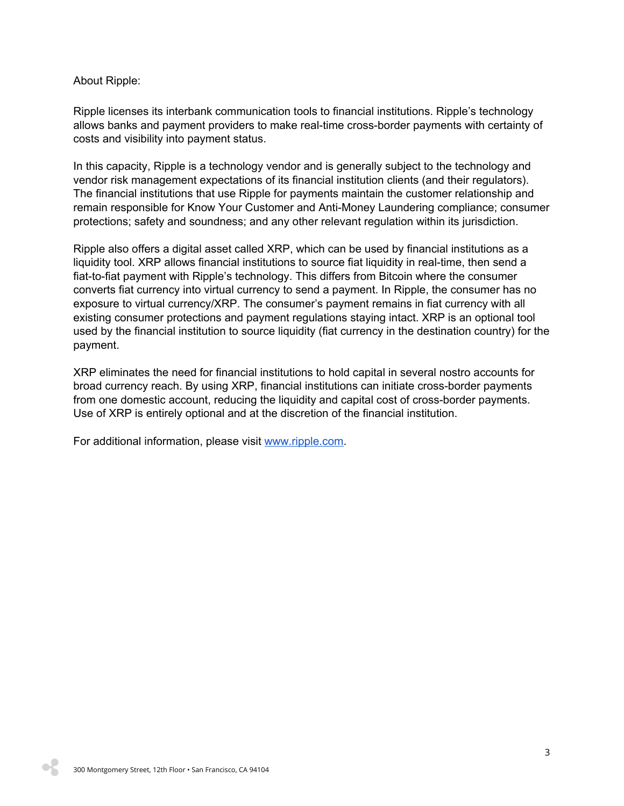## About Ripple:

Ripple licenses its interbank communication tools to financial institutions. Ripple's technology allows banks and payment providers to make real-time cross-border payments with certainty of costs and visibility into payment status.

In this capacity, Ripple is a technology vendor and is generally subject to the technology and vendor risk management expectations of its financial institution clients (and their regulators). The financial institutions that use Ripple for payments maintain the customer relationship and remain responsible for Know Your Customer and Anti-Money Laundering compliance; consumer protections; safety and soundness; and any other relevant regulation within its jurisdiction.

Ripple also offers a digital asset called XRP, which can be used by financial institutions as a liquidity tool. XRP allows financial institutions to source fiat liquidity in real-time, then send a fiat-to-fiat payment with Ripple's technology. This differs from Bitcoin where the consumer converts fiat currency into virtual currency to send a payment. In Ripple, the consumer has no exposure to virtual currency/XRP. The consumer's payment remains in fiat currency with all existing consumer protections and payment regulations staying intact. XRP is an optional tool used by the financial institution to source liquidity (fiat currency in the destination country) for the payment.

XRP eliminates the need for financial institutions to hold capital in several nostro accounts for broad currency reach. By using XRP, financial institutions can initiate cross-border payments from one domestic account, reducing the liquidity and capital cost of cross-border payments. Use of XRP is entirely optional and at the discretion of the financial institution.

For additional information, please visit [www.ripple.com.](http://www.ripple.com/)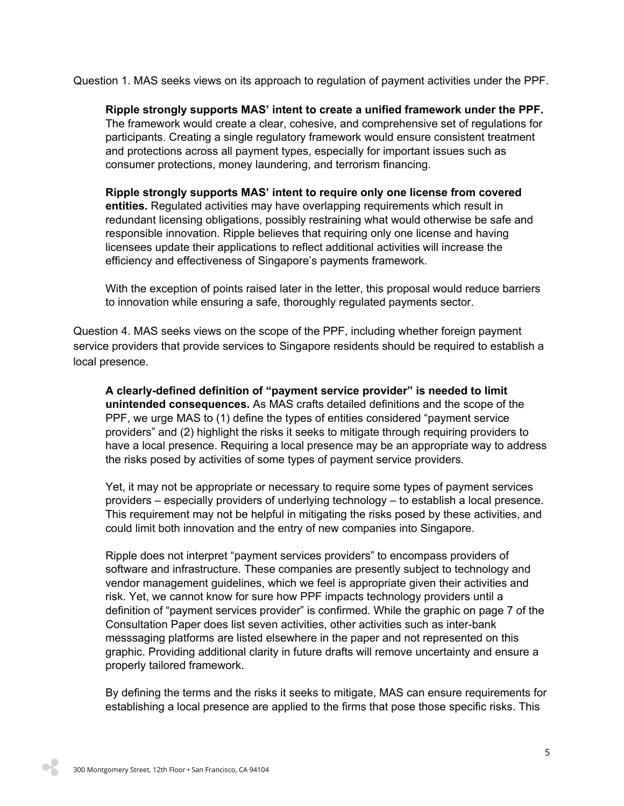Question 1. MAS seeks views on its approach to regulation of payment activities under the PPF.

**Ripple strongly supports MAS' intent to create a unified framework under the PPF.** The framework would create a clear, cohesive, and comprehensive set of regulations for participants. Creating a single regulatory framework would ensure consistent treatment and protections across all payment types, especially for important issues such as consumer protections, money laundering, and terrorism financing.

**Ripple strongly supports MAS' intent to require only one license from covered entities.** Regulated activities may have overlapping requirements which result in redundant licensing obligations, possibly restraining what would otherwise be safe and responsible innovation. Ripple believes that requiring only one license and having licensees update their applications to reflect additional activities will increase the efficiency and effectiveness of Singapore's payments framework.

With the exception of points raised later in the letter, this proposal would reduce barriers to innovation while ensuring a safe, thoroughly regulated payments sector.

Question 4. MAS seeks views on the scope of the PPF, including whether foreign payment service providers that provide services to Singapore residents should be required to establish a local presence.

**A clearly-defined definition of "payment service provider" is needed to limit unintended consequences.** As MAS crafts detailed definitions and the scope of the PPF, we urge MAS to (1) define the types of entities considered "payment service providers" and (2) highlight the risks it seeks to mitigate through requiring providers to have a local presence. Requiring a local presence may be an appropriate way to address the risks posed by activities of some types of payment service providers.

Yet, it may not be appropriate or necessary to require some types of payment services providers – especially providers of underlying technology – to establish a local presence. This requirement may not be helpful in mitigating the risks posed by these activities, and could limit both innovation and the entry of new companies into Singapore.

Ripple does not interpret "payment services providers" to encompass providers of software and infrastructure. These companies are presently subject to technology and vendor management guidelines, which we feel is appropriate given their activities and risk. Yet, we cannot know for sure how PPF impacts technology providers until a definition of "payment services provider" is confirmed. While the graphic on page 7 of the Consultation Paper does list seven activities, other activities such as inter-bank messsaging platforms are listed elsewhere in the paper and not represented on this graphic. Providing additional clarity in future drafts will remove uncertainty and ensure a properly tailored framework.

By defining the terms and the risks it seeks to mitigate, MAS can ensure requirements for establishing a local presence are applied to the firms that pose those specific risks. This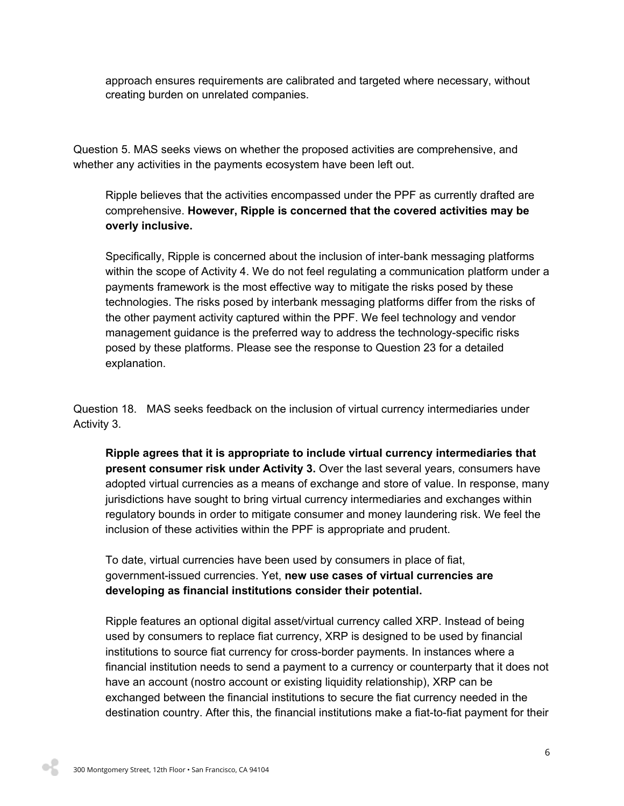approach ensures requirements are calibrated and targeted where necessary, without creating burden on unrelated companies.

Question 5. MAS seeks views on whether the proposed activities are comprehensive, and whether any activities in the payments ecosystem have been left out.

Ripple believes that the activities encompassed under the PPF as currently drafted are comprehensive. **However, Ripple is concerned that the covered activities may be overly inclusive.**

Specifically, Ripple is concerned about the inclusion of inter-bank messaging platforms within the scope of Activity 4. We do not feel regulating a communication platform under a payments framework is the most effective way to mitigate the risks posed by these technologies. The risks posed by interbank messaging platforms differ from the risks of the other payment activity captured within the PPF. We feel technology and vendor management guidance is the preferred way to address the technology-specific risks posed by these platforms. Please see the response to Question 23 for a detailed explanation.

Question 18. MAS seeks feedback on the inclusion of virtual currency intermediaries under Activity 3.

**Ripple agrees that it is appropriate to include virtual currency intermediaries that present consumer risk under Activity 3.** Over the last several years, consumers have adopted virtual currencies as a means of exchange and store of value. In response, many jurisdictions have sought to bring virtual currency intermediaries and exchanges within regulatory bounds in order to mitigate consumer and money laundering risk. We feel the inclusion of these activities within the PPF is appropriate and prudent.

To date, virtual currencies have been used by consumers in place of fiat, government-issued currencies. Yet, **new use cases of virtual currencies are developing as financial institutions consider their potential.**

Ripple features an optional digital asset/virtual currency called XRP. Instead of being used by consumers to replace fiat currency, XRP is designed to be used by financial institutions to source fiat currency for cross-border payments. In instances where a financial institution needs to send a payment to a currency or counterparty that it does not have an account (nostro account or existing liquidity relationship), XRP can be exchanged between the financial institutions to secure the fiat currency needed in the destination country. After this, the financial institutions make a fiat-to-fiat payment for their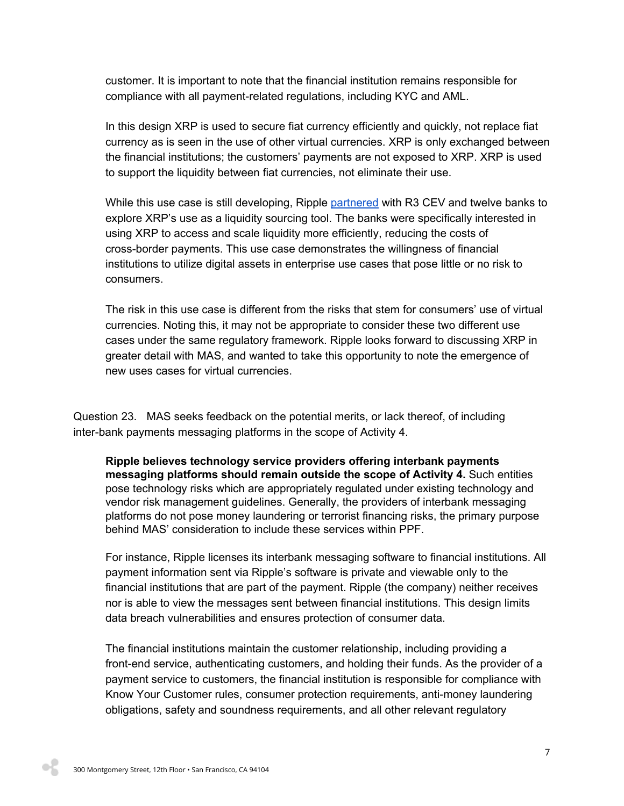customer. It is important to note that the financial institution remains responsible for compliance with all payment-related regulations, including KYC and AML.

In this design XRP is used to secure fiat currency efficiently and quickly, not replace fiat currency as is seen in the use of other virtual currencies. XRP is only exchanged between the financial institutions; the customers' payments are not exposed to XRP. XRP is used to support the liquidity between fiat currencies, not eliminate their use.

While this use case is still developing, Ripple [partnered](https://ripple.com/insights/ripple-and-r3-team-up-with-12-banks-to-trial-xrp-for-cross-border-payments/) with R3 CEV and twelve banks to explore XRP's use as a liquidity sourcing tool. The banks were specifically interested in using XRP to access and scale liquidity more efficiently, reducing the costs of cross-border payments. This use case demonstrates the willingness of financial institutions to utilize digital assets in enterprise use cases that pose little or no risk to consumers.

The risk in this use case is different from the risks that stem for consumers' use of virtual currencies. Noting this, it may not be appropriate to consider these two different use cases under the same regulatory framework. Ripple looks forward to discussing XRP in greater detail with MAS, and wanted to take this opportunity to note the emergence of new uses cases for virtual currencies.

Question 23. MAS seeks feedback on the potential merits, or lack thereof, of including inter-bank payments messaging platforms in the scope of Activity 4.

**Ripple believes technology service providers offering interbank payments messaging platforms should remain outside the scope of Activity 4.** Such entities pose technology risks which are appropriately regulated under existing technology and vendor risk management guidelines. Generally, the providers of interbank messaging platforms do not pose money laundering or terrorist financing risks, the primary purpose behind MAS' consideration to include these services within PPF.

For instance, Ripple licenses its interbank messaging software to financial institutions. All payment information sent via Ripple's software is private and viewable only to the financial institutions that are part of the payment. Ripple (the company) neither receives nor is able to view the messages sent between financial institutions. This design limits data breach vulnerabilities and ensures protection of consumer data.

The financial institutions maintain the customer relationship, including providing a front-end service, authenticating customers, and holding their funds. As the provider of a payment service to customers, the financial institution is responsible for compliance with Know Your Customer rules, consumer protection requirements, anti-money laundering obligations, safety and soundness requirements, and all other relevant regulatory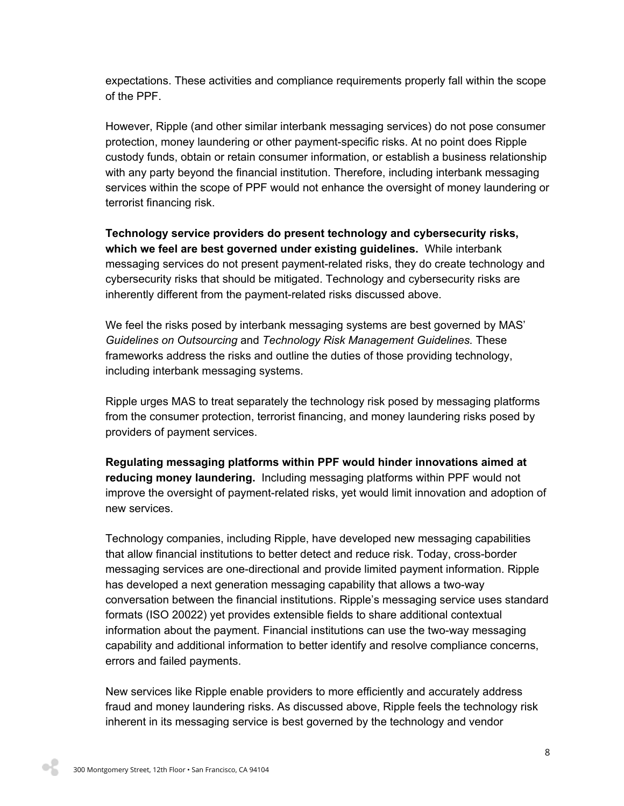expectations. These activities and compliance requirements properly fall within the scope of the PPF.

However, Ripple (and other similar interbank messaging services) do not pose consumer protection, money laundering or other payment-specific risks. At no point does Ripple custody funds, obtain or retain consumer information, or establish a business relationship with any party beyond the financial institution. Therefore, including interbank messaging services within the scope of PPF would not enhance the oversight of money laundering or terrorist financing risk.

**Technology service providers do present technology and cybersecurity risks, which we feel are best governed under existing guidelines.** W hile interbank messaging services do not present payment-related risks, they do create technology and cybersecurity risks that should be mitigated. Technology and cybersecurity risks are inherently different from the payment-related risks discussed above.

We feel the risks posed by interbank messaging systems are best governed by MAS' *Guidelines on Outsourcing* and *Technology Risk Management Guidelines.* These frameworks address the risks and outline the duties of those providing technology, including interbank messaging systems.

Ripple urges MAS to treat separately the technology risk posed by messaging platforms from the consumer protection, terrorist financing, and money laundering risks posed by providers of payment services.

**Regulating messaging platforms within PPF would hinder innovations aimed at reducing money laundering.** Including messaging platforms within PPF would not improve the oversight of payment-related risks, yet would limit innovation and adoption of new services.

Technology companies, including Ripple, have developed new messaging capabilities that allow financial institutions to better detect and reduce risk. Today, cross-border messaging services are one-directional and provide limited payment information. Ripple has developed a next generation messaging capability that allows a two-way conversation between the financial institutions. Ripple's messaging service uses standard formats (ISO 20022) yet provides extensible fields to share additional contextual information about the payment. Financial institutions can use the two-way messaging capability and additional information to better identify and resolve compliance concerns, errors and failed payments.

New services like Ripple enable providers to more efficiently and accurately address fraud and money laundering risks. As discussed above, Ripple feels the technology risk inherent in its messaging service is best governed by the technology and vendor